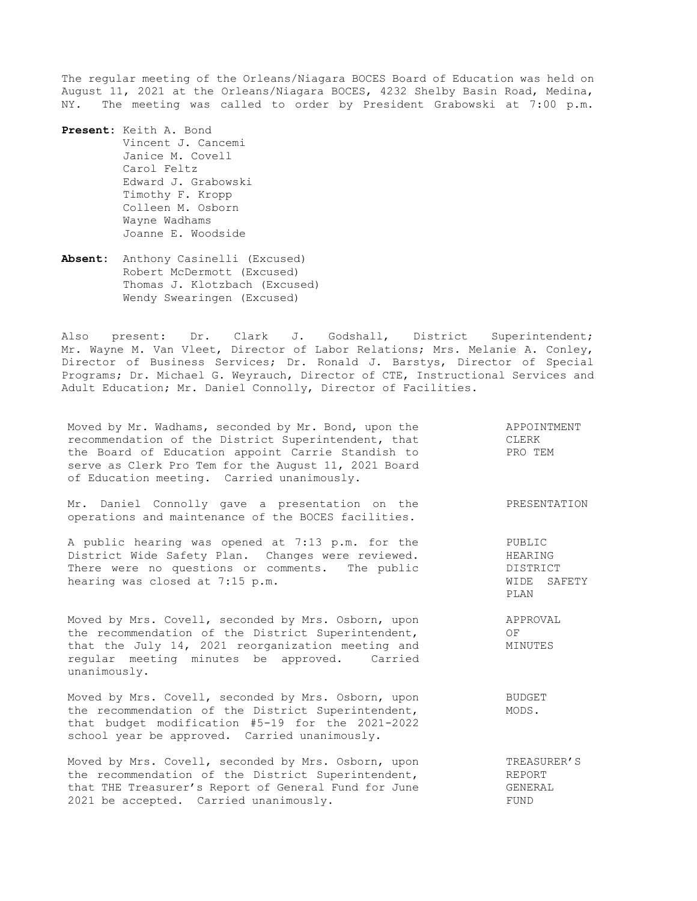The regular meeting of the Orleans/Niagara BOCES Board of Education was held on August 11, 2021 at the Orleans/Niagara BOCES, 4232 Shelby Basin Road, Medina, NY. The meeting was called to order by President Grabowski at 7:00 p.m.

**Present:** Keith A. Bond Vincent J. Cancemi Janice M. Covell Carol Feltz Edward J. Grabowski Timothy F. Kropp Colleen M. Osborn Wayne Wadhams Joanne E. Woodside

**Absent:** Anthony Casinelli (Excused) Robert McDermott (Excused) Thomas J. Klotzbach (Excused) Wendy Swearingen (Excused)

Also present: Dr. Clark J. Godshall, District Superintendent; Mr. Wayne M. Van Vleet, Director of Labor Relations; Mrs. Melanie A. Conley, Director of Business Services; Dr. Ronald J. Barstys, Director of Special Programs; Dr. Michael G. Weyrauch, Director of CTE, Instructional Services and Adult Education; Mr. Daniel Connolly, Director of Facilities.

Moved by Mr. Wadhams, seconded by Mr. Bond, upon the recommendation of the District Superintendent, that the Board of Education appoint Carrie Standish to serve as Clerk Pro Tem for the August 11, 2021 Board of Education meeting. Carried unanimously. APPOINTMENT CLERK PRO TEM Mr. Daniel Connolly gave a presentation on the operations and maintenance of the BOCES facilities. PRESENTATION A public hearing was opened at 7:13 p.m. for the District Wide Safety Plan. Changes were reviewed. There were no questions or comments. The public hearing was closed at 7:15 p.m. PUBLIC HEARING DISTRICT WIDE SAFETY PLAN Moved by Mrs. Covell, seconded by Mrs. Osborn, upon the recommendation of the District Superintendent, that the July 14, 2021 reorganization meeting and regular meeting minutes be approved. Carried unanimously. APPROVAL OF MINUTES Moved by Mrs. Covell, seconded by Mrs. Osborn, upon the recommendation of the District Superintendent, that budget modification #5-19 for the 2021-2022 school year be approved. Carried unanimously. BUDGET MODS. Moved by Mrs. Covell, seconded by Mrs. Osborn, upon the recommendation of the District Superintendent, that THE Treasurer's Report of General Fund for June 2021 be accepted. Carried unanimously. TREASURER'S REPORT GENERAL FUND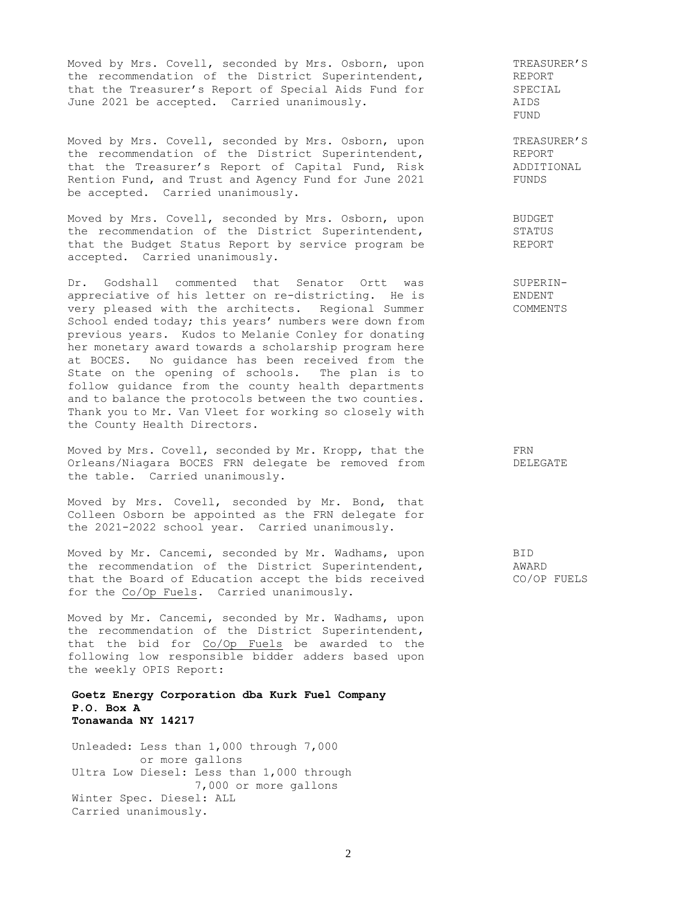Moved by Mrs. Covell, seconded by Mrs. Osborn, upon the recommendation of the District Superintendent, that the Treasurer's Report of Special Aids Fund for June 2021 be accepted. Carried unanimously.

Moved by Mrs. Covell, seconded by Mrs. Osborn, upon the recommendation of the District Superintendent, that the Treasurer's Report of Capital Fund, Risk Rention Fund, and Trust and Agency Fund for June 2021 be accepted. Carried unanimously.

Moved by Mrs. Covell, seconded by Mrs. Osborn, upon the recommendation of the District Superintendent, that the Budget Status Report by service program be accepted. Carried unanimously.

Dr. Godshall commented that Senator Ortt was appreciative of his letter on re-districting. He is very pleased with the architects. Regional Summer School ended today; this years' numbers were down from previous years. Kudos to Melanie Conley for donating her monetary award towards a scholarship program here at BOCES. No guidance has been received from the State on the opening of schools. The plan is to follow guidance from the county health departments and to balance the protocols between the two counties. Thank you to Mr. Van Vleet for working so closely with the County Health Directors.

Moved by Mrs. Covell, seconded by Mr. Kropp, that the Orleans/Niagara BOCES FRN delegate be removed from the table. Carried unanimously.

Moved by Mrs. Covell, seconded by Mr. Bond, that Colleen Osborn be appointed as the FRN delegate for the 2021-2022 school year. Carried unanimously.

Moved by Mr. Cancemi, seconded by Mr. Wadhams, upon the recommendation of the District Superintendent, that the Board of Education accept the bids received for the Co/Op Fuels. Carried unanimously.

Moved by Mr. Cancemi, seconded by Mr. Wadhams, upon the recommendation of the District Superintendent, that the bid for Co/Op Fuels be awarded to the following low responsible bidder adders based upon the weekly OPIS Report:

### **Goetz Energy Corporation dba Kurk Fuel Company P.O. Box A Tonawanda NY 14217**

Unleaded: Less than 1,000 through 7,000 or more gallons Ultra Low Diesel: Less than 1,000 through 7,000 or more gallons Winter Spec. Diesel: ALL Carried unanimously.

TREASURER'S REPORT SPECIAL AIDS FUND

TREASURER'S REPORT ADDITIONAL FUNDS

BUDGET STATUS REPORT

SUPERIN-ENDENT COMMENTS

> FRN DELEGATE

BID AWARD CO/OP FUELS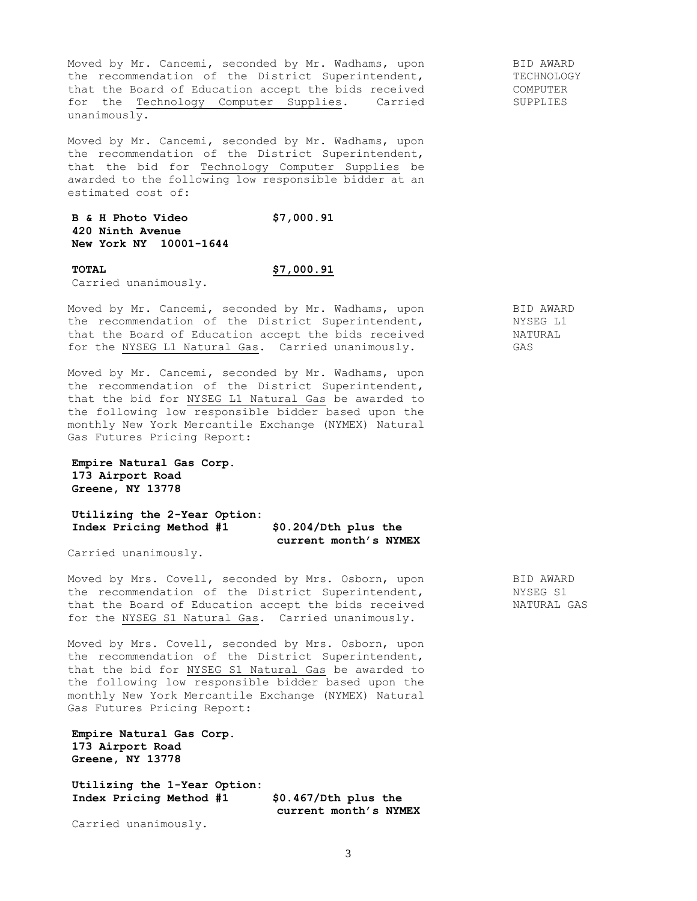Moved by Mr. Cancemi, seconded by Mr. Wadhams, upon the recommendation of the District Superintendent, that the Board of Education accept the bids received for the Technology Computer Supplies. Carried unanimously.

Moved by Mr. Cancemi, seconded by Mr. Wadhams, upon the recommendation of the District Superintendent, that the bid for Technology Computer Supplies be awarded to the following low responsible bidder at an estimated cost of:

# **B & H Photo Video \$7,000.91 420 Ninth Avenue New York NY 10001-1644**

**TOTAL \$7,000.91**

Carried unanimously.

Moved by Mr. Cancemi, seconded by Mr. Wadhams, upon the recommendation of the District Superintendent, that the Board of Education accept the bids received for the NYSEG L1 Natural Gas. Carried unanimously.

Moved by Mr. Cancemi, seconded by Mr. Wadhams, upon the recommendation of the District Superintendent, that the bid for NYSEG L1 Natural Gas be awarded to the following low responsible bidder based upon the monthly New York Mercantile Exchange (NYMEX) Natural Gas Futures Pricing Report:

```
Empire Natural Gas Corp.
173 Airport Road 
Greene, NY 13778
```
**Utilizing the 2-Year Option: Index Pricing Method #1 \$0.204/Dth plus the current month's NYMEX**

Carried unanimously.

Moved by Mrs. Covell, seconded by Mrs. Osborn, upon the recommendation of the District Superintendent, that the Board of Education accept the bids received for the NYSEG S1 Natural Gas. Carried unanimously.

Moved by Mrs. Covell, seconded by Mrs. Osborn, upon the recommendation of the District Superintendent, that the bid for NYSEG S1 Natural Gas be awarded to the following low responsible bidder based upon the monthly New York Mercantile Exchange (NYMEX) Natural Gas Futures Pricing Report:

**Empire Natural Gas Corp. 173 Airport Road Greene, NY 13778**

**Utilizing the 1-Year Option: Index Pricing Method #1 \$0.467/Dth plus the** 

 **current month's NYMEX**

Carried unanimously.

TECHNOLOGY COMPUTER SUPPLIES

BID AWARD

BID AWARD NYSEG L1 NATURAL GAS

BID AWARD NYSEG S1 NATURAL GAS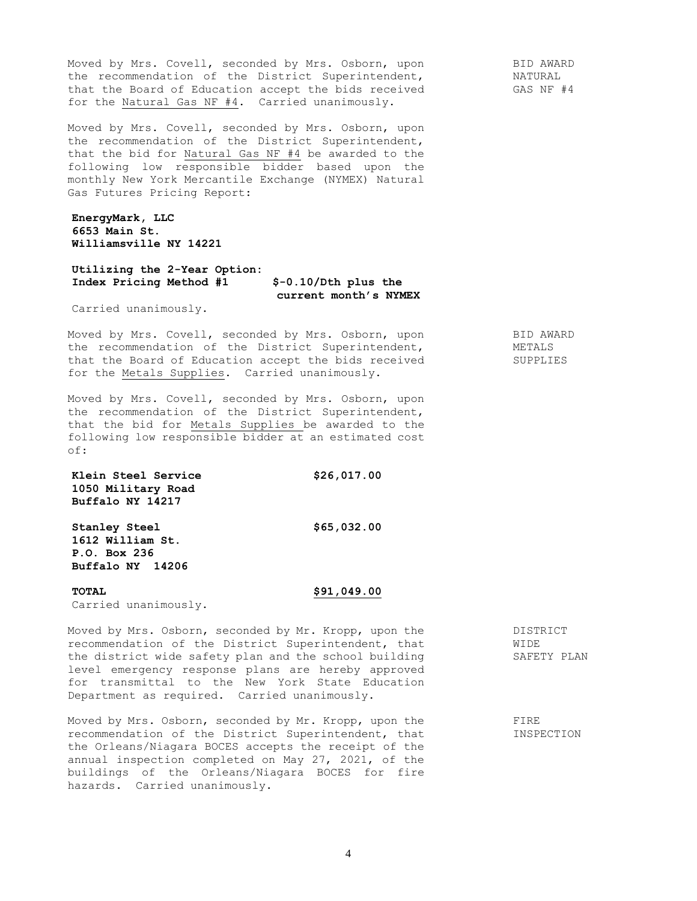Moved by Mrs. Covell, seconded by Mrs. Osborn, upon the recommendation of the District Superintendent, that the Board of Education accept the bids received for the Natural Gas NF #4. Carried unanimously.

Moved by Mrs. Covell, seconded by Mrs. Osborn, upon the recommendation of the District Superintendent, that the bid for Natural Gas NF #4 be awarded to the following low responsible bidder based upon the monthly New York Mercantile Exchange (NYMEX) Natural Gas Futures Pricing Report:

**EnergyMark, LLC 6653 Main St. Williamsville NY 14221**

### **Utilizing the 2-Year Option: Index Pricing Method #1 \$-0.10/Dth plus the current month's NYMEX**

Carried unanimously.

Moved by Mrs. Covell, seconded by Mrs. Osborn, upon the recommendation of the District Superintendent, that the Board of Education accept the bids received for the Metals Supplies. Carried unanimously.

Moved by Mrs. Covell, seconded by Mrs. Osborn, upon the recommendation of the District Superintendent, that the bid for Metals Supplies be awarded to the following low responsible bidder at an estimated cost of:

**Klein Steel Service \$26,017.00 1050 Military Road Buffalo NY 14217**

**Stanley Steel \$65,032.00 1612 William St. P.O. Box 236 Buffalo NY 14206**

**TOTAL \$91,049.00** Carried unanimously.

Moved by Mrs. Osborn, seconded by Mr. Kropp, upon the recommendation of the District Superintendent, that the district wide safety plan and the school building level emergency response plans are hereby approved for transmittal to the New York State Education Department as required. Carried unanimously.

Moved by Mrs. Osborn, seconded by Mr. Kropp, upon the recommendation of the District Superintendent, that the Orleans/Niagara BOCES accepts the receipt of the annual inspection completed on May 27, 2021, of the buildings of the Orleans/Niagara BOCES for fire hazards. Carried unanimously.

DISTRICT WIDE SAFETY PLAN

FIRE INSPECTION

BID AWARD METALS SUPPLIES

BID AWARD NATURAL GAS NF #4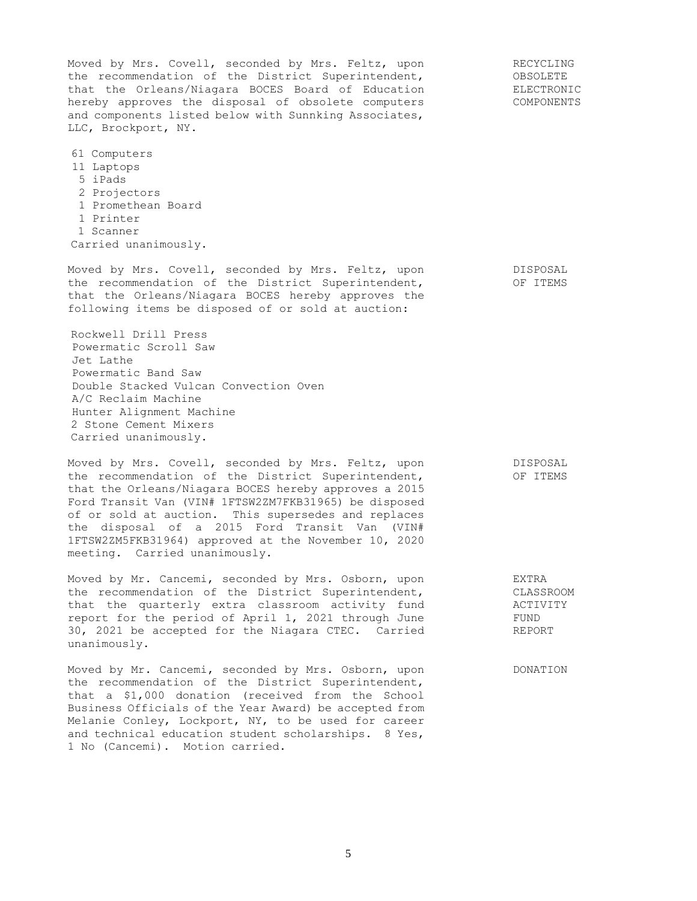Moved by Mrs. Covell, seconded by Mrs. Feltz, upon the recommendation of the District Superintendent, that the Orleans/Niagara BOCES Board of Education hereby approves the disposal of obsolete computers and components listed below with Sunnking Associates, LLC, Brockport, NY. 61 Computers 11 Laptops 5 iPads 2 Projectors 1 Promethean Board 1 Printer 1 Scanner Carried unanimously. RECYCLING OBSOLETE ELECTRONIC COMPONENTS Moved by Mrs. Covell, seconded by Mrs. Feltz, upon the recommendation of the District Superintendent, that the Orleans/Niagara BOCES hereby approves the following items be disposed of or sold at auction: Rockwell Drill Press Powermatic Scroll Saw Jet Lathe Powermatic Band Saw Double Stacked Vulcan Convection Oven A/C Reclaim Machine Hunter Alignment Machine 2 Stone Cement Mixers Carried unanimously. DISPOSAL OF ITEMS Moved by Mrs. Covell, seconded by Mrs. Feltz, upon the recommendation of the District Superintendent, that the Orleans/Niagara BOCES hereby approves a 2015 Ford Transit Van (VIN# 1FTSW2ZM7FKB31965) be disposed of or sold at auction. This supersedes and replaces the disposal of a 2015 Ford Transit Van (VIN# 1FTSW2ZM5FKB31964) approved at the November 10, 2020 meeting. Carried unanimously. DISPOSAL OF ITEMS Moved by Mr. Cancemi, seconded by Mrs. Osborn, upon the recommendation of the District Superintendent, that the quarterly extra classroom activity fund report for the period of April 1, 2021 through June 30, 2021 be accepted for the Niagara CTEC. Carried unanimously. EXTRA CLASSROOM ACTIVITY FUND REPORT Moved by Mr. Cancemi, seconded by Mrs. Osborn, upon the recommendation of the District Superintendent, that a \$1,000 donation (received from the School Business Officials of the Year Award) be accepted from Melanie Conley, Lockport, NY, to be used for career DONATION

and technical education student scholarships. 8 Yes,

1 No (Cancemi). Motion carried.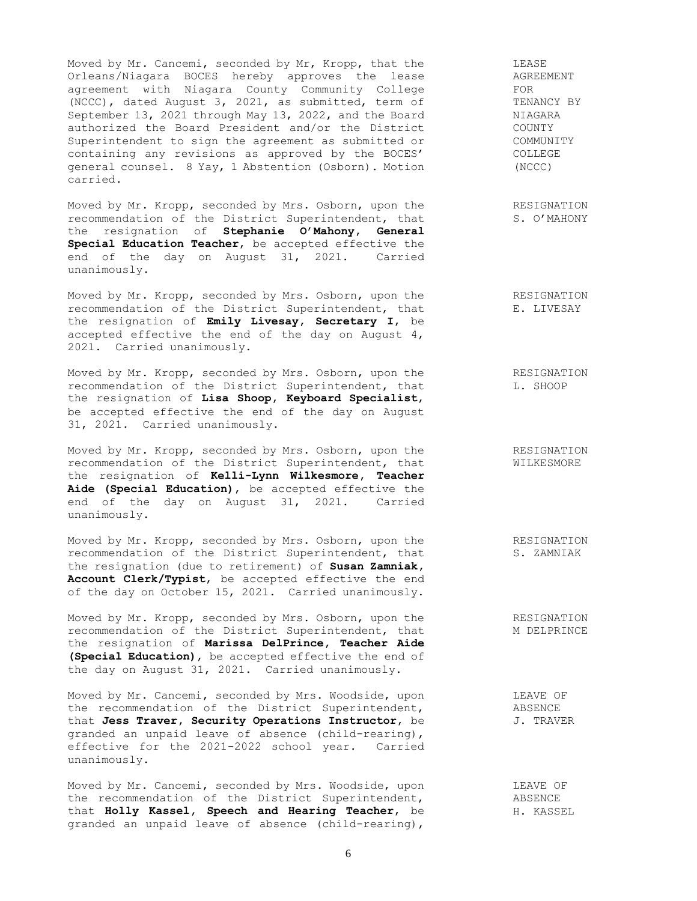Moved by Mr. Cancemi, seconded by Mr, Kropp, that the Orleans/Niagara BOCES hereby approves the lease agreement with Niagara County Community College (NCCC), dated August 3, 2021, as submitted, term of September 13, 2021 through May 13, 2022, and the Board authorized the Board President and/or the District Superintendent to sign the agreement as submitted or containing any revisions as approved by the BOCES' general counsel. 8 Yay, 1 Abstention (Osborn). Motion carried.

Moved by Mr. Kropp, seconded by Mrs. Osborn, upon the recommendation of the District Superintendent, that the resignation of **Stephanie O'Mahony, General Special Education Teacher**, be accepted effective the end of the day on August 31, 2021. Carried unanimously.

Moved by Mr. Kropp, seconded by Mrs. Osborn, upon the recommendation of the District Superintendent, that the resignation of **Emily Livesay, Secretary I**, be accepted effective the end of the day on August 4, 2021. Carried unanimously.

Moved by Mr. Kropp, seconded by Mrs. Osborn, upon the recommendation of the District Superintendent, that the resignation of **Lisa Shoop, Keyboard Specialist**, be accepted effective the end of the day on August 31, 2021. Carried unanimously.

Moved by Mr. Kropp, seconded by Mrs. Osborn, upon the recommendation of the District Superintendent, that the resignation of **Kelli-Lynn Wilkesmore, Teacher Aide (Special Education)**, be accepted effective the end of the day on August 31, 2021. Carried unanimously.

Moved by Mr. Kropp, seconded by Mrs. Osborn, upon the recommendation of the District Superintendent, that the resignation (due to retirement) of **Susan Zamniak, Account Clerk/Typist**, be accepted effective the end of the day on October 15, 2021. Carried unanimously.

Moved by Mr. Kropp, seconded by Mrs. Osborn, upon the recommendation of the District Superintendent, that the resignation of **Marissa DelPrince, Teacher Aide (Special Education)**, be accepted effective the end of the day on August 31, 2021. Carried unanimously.

Moved by Mr. Cancemi, seconded by Mrs. Woodside, upon the recommendation of the District Superintendent, that **Jess Traver, Security Operations Instructor**, be granded an unpaid leave of absence (child-rearing), effective for the 2021-2022 school year. Carried unanimously.

Moved by Mr. Cancemi, seconded by Mrs. Woodside, upon the recommendation of the District Superintendent, that **Holly Kassel, Speech and Hearing Teacher**, be granded an unpaid leave of absence (child-rearing),

LEASE AGREEMENT FOR TENANCY BY NIAGARA COUNTY COMMUNITY COLLEGE (NCCC)

RESIGNATION S. O'MAHONY

RESIGNATION E. LIVESAY

RESIGNATION L. SHOOP

RESIGNATION WILKESMORE

RESIGNATION S. ZAMNIAK

RESIGNATION M DELPRINCE

LEAVE OF ABSENCE J. TRAVER

> LEAVE OF ABSENCE H. KASSEL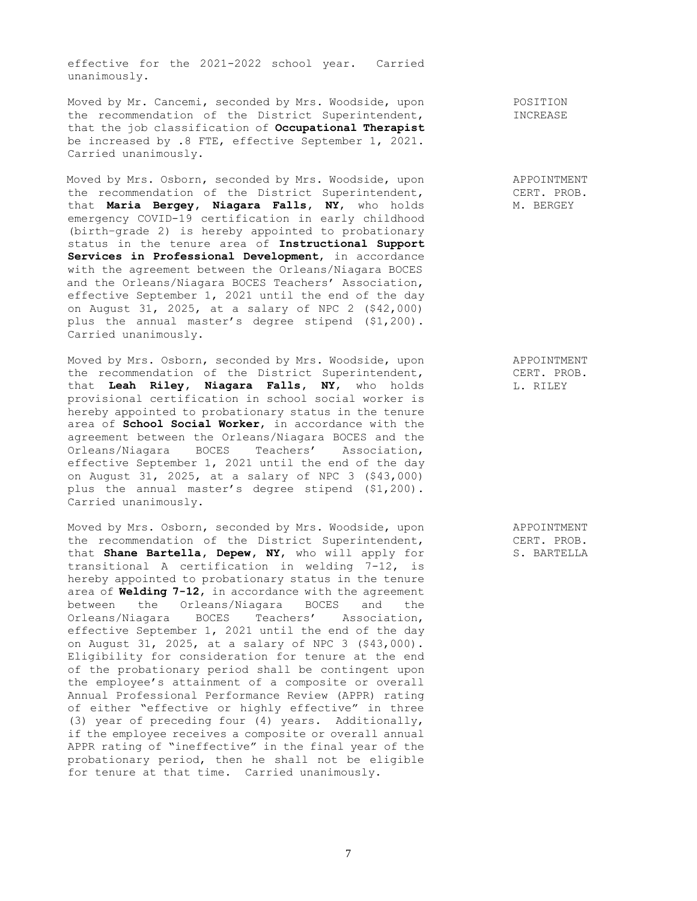effective for the 2021-2022 school year. Carried unanimously.

Moved by Mr. Cancemi, seconded by Mrs. Woodside, upon the recommendation of the District Superintendent, that the job classification of **Occupational Therapist** be increased by .8 FTE, effective September 1, 2021. Carried unanimously.

Moved by Mrs. Osborn, seconded by Mrs. Woodside, upon the recommendation of the District Superintendent, that **Maria Bergey, Niagara Falls, NY**, who holds emergency COVID-19 certification in early childhood (birth–grade 2) is hereby appointed to probationary status in the tenure area of **Instructional Support Services in Professional Development**, in accordance with the agreement between the Orleans/Niagara BOCES and the Orleans/Niagara BOCES Teachers' Association, effective September 1, 2021 until the end of the day on August 31, 2025, at a salary of NPC 2 (\$42,000) plus the annual master's degree stipend (\$1,200). Carried unanimously.

Moved by Mrs. Osborn, seconded by Mrs. Woodside, upon the recommendation of the District Superintendent, that **Leah Riley, Niagara Falls, NY**, who holds provisional certification in school social worker is hereby appointed to probationary status in the tenure area of **School Social Worker**, in accordance with the agreement between the Orleans/Niagara BOCES and the Orleans/Niagara BOCES Teachers' Association, effective September 1, 2021 until the end of the day on August 31, 2025, at a salary of NPC 3 (\$43,000) plus the annual master's degree stipend (\$1,200). Carried unanimously.

Moved by Mrs. Osborn, seconded by Mrs. Woodside, upon the recommendation of the District Superintendent, that **Shane Bartella, Depew, NY**, who will apply for transitional A certification in welding 7-12, is hereby appointed to probationary status in the tenure area of **Welding 7-12**, in accordance with the agreement between the Orleans/Niagara BOCES and the Orleans/Niagara BOCES Teachers' Association, effective September 1, 2021 until the end of the day on August 31, 2025, at a salary of NPC 3 (\$43,000). Eligibility for consideration for tenure at the end of the probationary period shall be contingent upon the employee's attainment of a composite or overall Annual Professional Performance Review (APPR) rating of either "effective or highly effective" in three (3) year of preceding four (4) years. Additionally, if the employee receives a composite or overall annual APPR rating of "ineffective" in the final year of the probationary period, then he shall not be eligible for tenure at that time. Carried unanimously.

POSITION INCREASE

APPOINTMENT CERT. PROB. M. BERGEY

APPOINTMENT CERT. PROB. L. RILEY

APPOINTMENT CERT. PROB. S. BARTELLA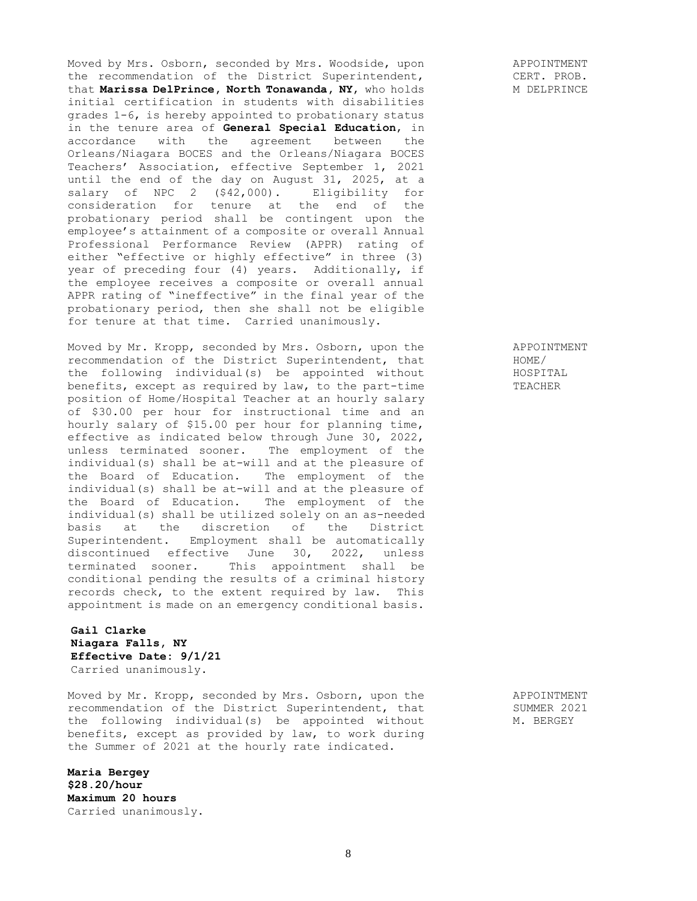Moved by Mrs. Osborn, seconded by Mrs. Woodside, upon the recommendation of the District Superintendent, that **Marissa DelPrince, North Tonawanda, NY**, who holds initial certification in students with disabilities grades 1-6, is hereby appointed to probationary status in the tenure area of **General Special Education**, in accordance with the agreement between the Orleans/Niagara BOCES and the Orleans/Niagara BOCES Teachers' Association, effective September 1, 2021 until the end of the day on August 31, 2025, at a salary of NPC 2 (\$42,000). Eligibility for consideration for tenure at the end of the probationary period shall be contingent upon the employee's attainment of a composite or overall Annual Professional Performance Review (APPR) rating of either "effective or highly effective" in three (3) year of preceding four (4) years. Additionally, if the employee receives a composite or overall annual APPR rating of "ineffective" in the final year of the probationary period, then she shall not be eligible for tenure at that time. Carried unanimously.

Moved by Mr. Kropp, seconded by Mrs. Osborn, upon the Moved by Mr. Kropp, seconded by Mrs. Osborn, upon the<br>recommendation of the District Superintendent, that<br>the following individual(s) be appointed without the following individual(s) be appointed without benefits, except as required by law, to the part-time position of Home/Hospital Teacher at an hourly salary of \$30.00 per hour for instructional time and an hourly salary of \$15.00 per hour for planning time, effective as indicated below through June 30, 2022, unless terminated sooner. The employment of the individual(s) shall be at-will and at the pleasure of the Board of Education. The employment of the individual(s) shall be at-will and at the pleasure of the Board of Education. The employment of the individual(s) shall be utilized solely on an as-needed basis at the discretion of the District Superintendent. Employment shall be automatically discontinued effective June 30, 2022, unless terminated sooner. This appointment shall be conditional pending the results of a criminal history records check, to the extent required by law. This appointment is made on an emergency conditional basis.

# **Gail Clarke Niagara Falls, NY Effective Date: 9/1/21** Carried unanimously.

Moved by Mr. Kropp, seconded by Mrs. Osborn, upon the recommendation of the District Superintendent, that the following individual(s) be appointed without benefits, except as provided by law, to work during the Summer of 2021 at the hourly rate indicated.

**Maria Bergey \$28.20/hour Maximum 20 hours** Carried unanimously. APPOINTMENT CERT. PROB. M DELPRINCE

> APPOINTMENT HOME/ HOSPITAL TEACHER

> APPOINTMENT SUMMER 2021 M. BERGEY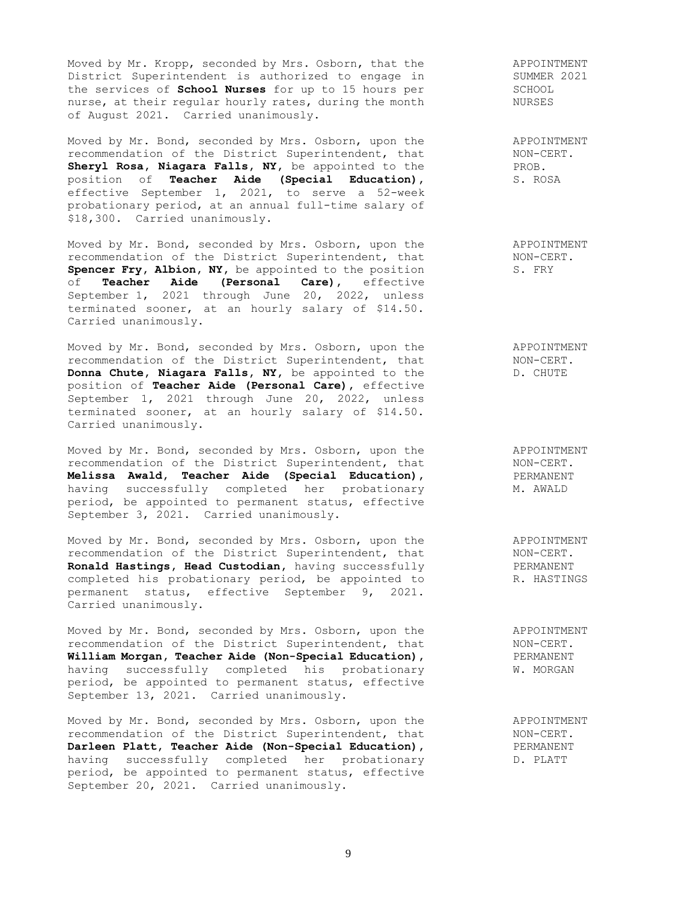Moved by Mr. Kropp, seconded by Mrs. Osborn, that the District Superintendent is authorized to engage in the services of **School Nurses** for up to 15 hours per nurse, at their regular hourly rates, during the month of August 2021. Carried unanimously.

Moved by Mr. Bond, seconded by Mrs. Osborn, upon the recommendation of the District Superintendent, that **Sheryl Rosa, Niagara Falls, NY,** be appointed to the position of **Teacher Aide (Special Education),** effective September 1, 2021, to serve a 52-week probationary period, at an annual full-time salary of \$18,300. Carried unanimously.

Moved by Mr. Bond, seconded by Mrs. Osborn, upon the recommendation of the District Superintendent, that **Spencer Fry, Albion, NY,** be appointed to the position of **Teacher Aide (Personal Care),** effective September 1, 2021 through June 20, 2022, unless terminated sooner, at an hourly salary of \$14.50. Carried unanimously.

Moved by Mr. Bond, seconded by Mrs. Osborn, upon the recommendation of the District Superintendent, that **Donna Chute, Niagara Falls, NY,** be appointed to the position of **Teacher Aide (Personal Care),** effective September 1, 2021 through June 20, 2022, unless terminated sooner, at an hourly salary of \$14.50. Carried unanimously.

Moved by Mr. Bond, seconded by Mrs. Osborn, upon the recommendation of the District Superintendent, that **Melissa Awald, Teacher Aide (Special Education),** having successfully completed her probationary period, be appointed to permanent status, effective September 3, 2021. Carried unanimously.

Moved by Mr. Bond, seconded by Mrs. Osborn, upon the recommendation of the District Superintendent, that **Ronald Hastings, Head Custodian,** having successfully completed his probationary period, be appointed to permanent status, effective September 9, 2021. Carried unanimously.

Moved by Mr. Bond, seconded by Mrs. Osborn, upon the recommendation of the District Superintendent, that **William Morgan, Teacher Aide (Non-Special Education),** having successfully completed his probationary period, be appointed to permanent status, effective September 13, 2021. Carried unanimously.

Moved by Mr. Bond, seconded by Mrs. Osborn, upon the recommendation of the District Superintendent, that **Darleen Platt, Teacher Aide (Non-Special Education),** having successfully completed her probationary period, be appointed to permanent status, effective September 20, 2021. Carried unanimously.

APPOINTMENT SUMMER 2021 SCHOOL NURSES

APPOINTMENT NON-CERT. PROB. S. ROSA

APPOINTMENT NON-CERT. S. FRY

APPOINTMENT NON-CERT. D. CHUTE

APPOINTMENT NON-CERT. PERMANENT M. AWALD

APPOINTMENT NON-CERT. PERMANENT R. HASTINGS

APPOINTMENT NON-CERT. PERMANENT W. MORGAN

APPOINTMENT NON-CERT. PERMANENT D. PLATT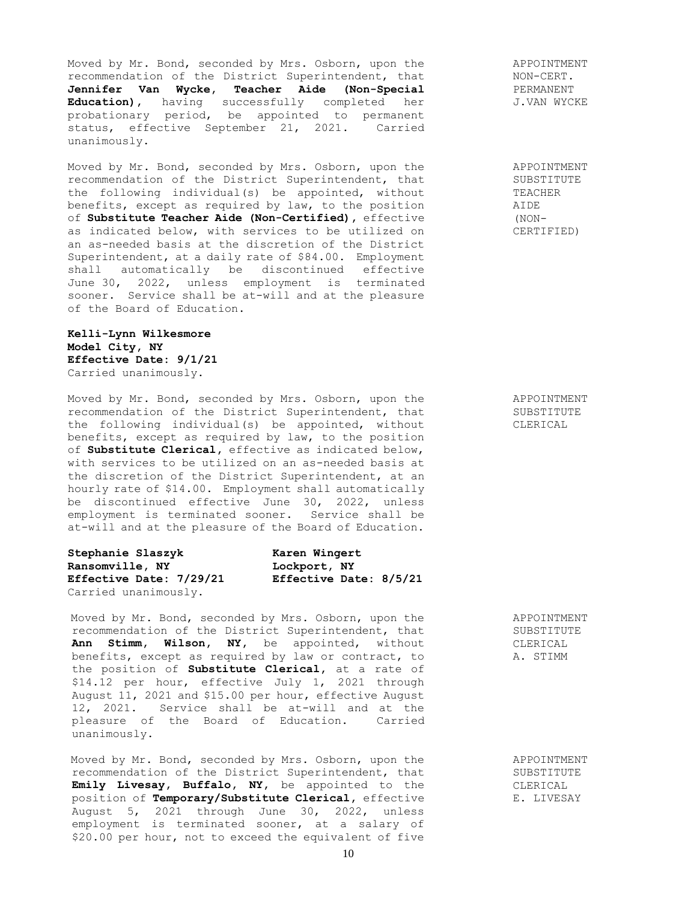Moved by Mr. Bond, seconded by Mrs. Osborn, upon the recommendation of the District Superintendent, that **Jennifer Van Wycke, Teacher Aide (Non-Special Education),** having successfully completed her probationary period, be appointed to permanent status, effective September 21, 2021. Carried unanimously.

Moved by Mr. Bond, seconded by Mrs. Osborn, upon the recommendation of the District Superintendent, that the following individual(s) be appointed, without benefits, except as required by law, to the position of **Substitute Teacher Aide (Non-Certified),** effective as indicated below, with services to be utilized on an as-needed basis at the discretion of the District Superintendent, at a daily rate of \$84.00. Employment shall automatically be discontinued effective June 30, 2022, unless employment is terminated sooner. Service shall be at-will and at the pleasure of the Board of Education.

## **Kelli-Lynn Wilkesmore Model City, NY Effective Date: 9/1/21** Carried unanimously.

Moved by Mr. Bond, seconded by Mrs. Osborn, upon the recommendation of the District Superintendent, that the following individual(s) be appointed, without benefits, except as required by law, to the position of **Substitute Clerical,** effective as indicated below, with services to be utilized on an as-needed basis at the discretion of the District Superintendent, at an hourly rate of \$14.00. Employment shall automatically be discontinued effective June 30, 2022, unless employment is terminated sooner. Service shall be at-will and at the pleasure of the Board of Education.

| Stephanie Slaszyk              | Karen Wingert          |  |
|--------------------------------|------------------------|--|
| Ransomville, NY                | Lockport, NY           |  |
| <b>Effective Date: 7/29/21</b> | Effective Date: 8/5/21 |  |
| Carried unanimously.           |                        |  |

Moved by Mr. Bond, seconded by Mrs. Osborn, upon the recommendation of the District Superintendent, that **Ann Stimm, Wilson, NY,** be appointed, without benefits, except as required by law or contract, to the position of **Substitute Clerical,** at a rate of \$14.12 per hour, effective July 1, 2021 through August 11, 2021 and \$15.00 per hour, effective August 12, 2021. Service shall be at-will and at the pleasure of the Board of Education. Carried unanimously.

Moved by Mr. Bond, seconded by Mrs. Osborn, upon the recommendation of the District Superintendent, that **Emily Livesay, Buffalo, NY,** be appointed to the position of **Temporary/Substitute Clerical,** effective August 5, 2021 through June 30, 2022, unless employment is terminated sooner, at a salary of \$20.00 per hour, not to exceed the equivalent of five

APPOINTMENT NON-CERT. PERMANENT J.VAN WYCKE

APPOINTMENT SUBSTITUTE TEACHER AIDE (NON-CERTIFIED)

APPOINTMENT SUBSTITUTE CLERICAL

APPOINTMENT SUBSTITUTE CLERICAL A. STIMM

APPOINTMENT SUBSTITUTE CLERICAL E. LIVESAY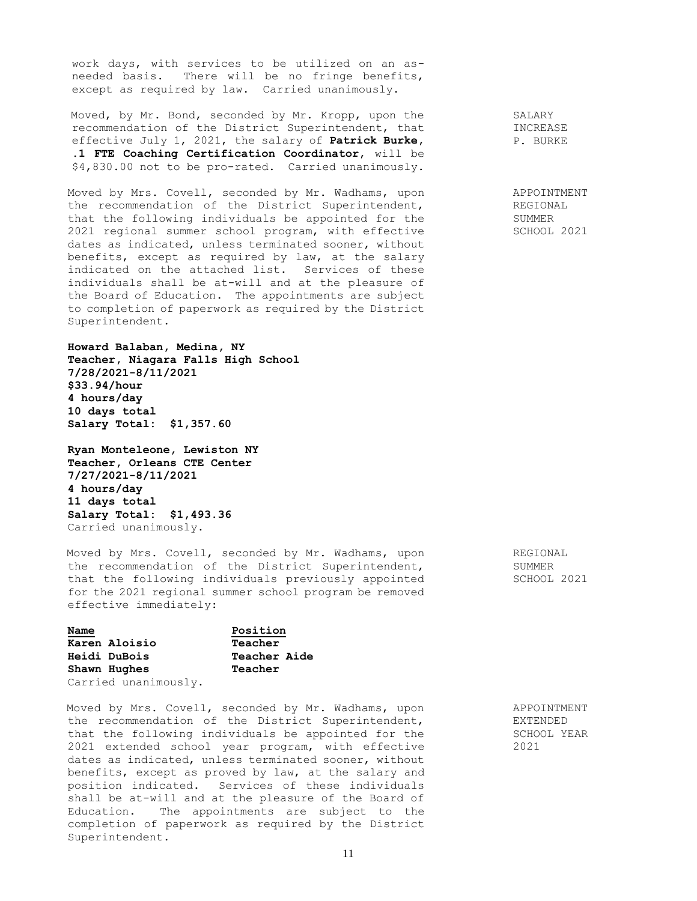work days, with services to be utilized on an asneeded basis. There will be no fringe benefits, except as required by law. Carried unanimously.

Moved, by Mr. Bond, seconded by Mr. Kropp, upon the recommendation of the District Superintendent, that effective July 1, 2021, the salary of **Patrick Burke, .1 FTE Coaching Certification Coordinator**, will be \$4,830.00 not to be pro-rated. Carried unanimously.

Moved by Mrs. Covell, seconded by Mr. Wadhams, upon the recommendation of the District Superintendent, that the following individuals be appointed for the 2021 regional summer school program, with effective dates as indicated, unless terminated sooner, without benefits, except as required by law, at the salary indicated on the attached list. Services of these individuals shall be at-will and at the pleasure of the Board of Education. The appointments are subject to completion of paperwork as required by the District Superintendent.

**Howard Balaban, Medina, NY Teacher, Niagara Falls High School 7/28/2021-8/11/2021 \$33.94/hour 4 hours/day 10 days total Salary Total: \$1,357.60**

**Ryan Monteleone, Lewiston NY Teacher, Orleans CTE Center 7/27/2021-8/11/2021 4 hours/day 11 days total Salary Total: \$1,493.36** Carried unanimously.

Moved by Mrs. Covell, seconded by Mr. Wadhams, upon the recommendation of the District Superintendent, that the following individuals previously appointed for the 2021 regional summer school program be removed effective immediately:

| Name                 | Position            |
|----------------------|---------------------|
| Karen Aloisio        | Teacher             |
| <b>Heidi DuBois</b>  | <b>Teacher Aide</b> |
| Shawn Hughes         | Teacher             |
| Carried unanimously. |                     |

Moved by Mrs. Covell, seconded by Mr. Wadhams, upon the recommendation of the District Superintendent, that the following individuals be appointed for the 2021 extended school year program, with effective dates as indicated, unless terminated sooner, without benefits, except as proved by law, at the salary and position indicated. Services of these individuals shall be at-will and at the pleasure of the Board of Education. The appointments are subject to the completion of paperwork as required by the District Superintendent.

SALARY INCREASE P. BURKE

APPOINTMENT REGIONAL SUMMER SCHOOL 2021

REGIONAL SUMMER SCHOOL 2021

APPOINTMENT EXTENDED SCHOOL YEAR 2021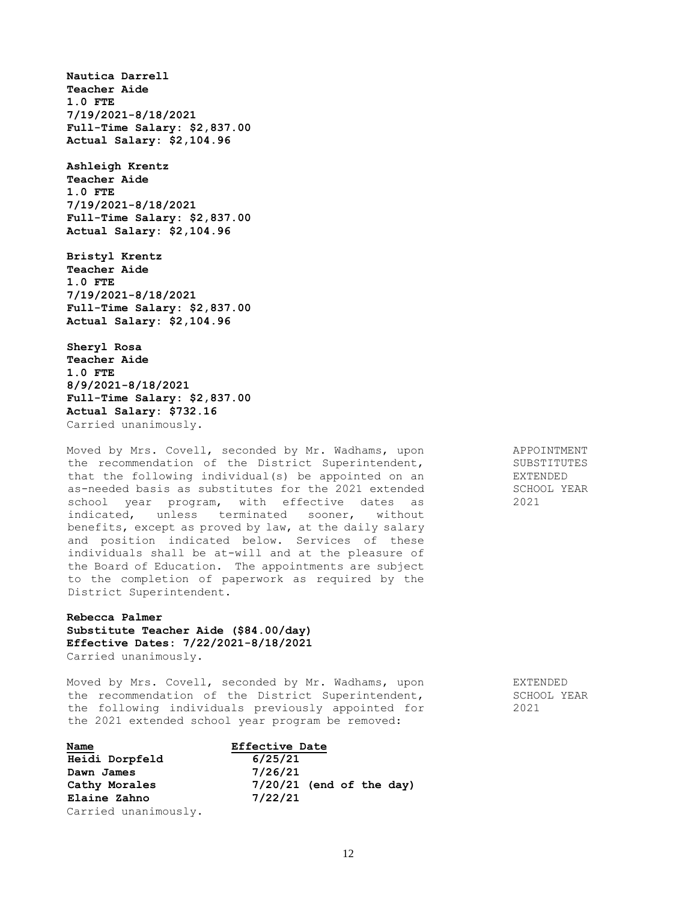**Nautica Darrell Teacher Aide 1.0 FTE 7/19/2021-8/18/2021 Full-Time Salary: \$2,837.00 Actual Salary: \$2,104.96**

**Ashleigh Krentz Teacher Aide 1.0 FTE 7/19/2021-8/18/2021 Full-Time Salary: \$2,837.00 Actual Salary: \$2,104.96**

**Bristyl Krentz Teacher Aide 1.0 FTE 7/19/2021-8/18/2021 Full-Time Salary: \$2,837.00 Actual Salary: \$2,104.96**

**Sheryl Rosa Teacher Aide 1.0 FTE 8/9/2021-8/18/2021 Full-Time Salary: \$2,837.00 Actual Salary: \$732.16** Carried unanimously.

Moved by Mrs. Covell, seconded by Mr. Wadhams, upon the recommendation of the District Superintendent, that the following individual(s) be appointed on an as-needed basis as substitutes for the 2021 extended school year program, with effective dates as indicated, unless terminated sooner, without benefits, except as proved by law, at the daily salary and position indicated below. Services of these individuals shall be at-will and at the pleasure of the Board of Education. The appointments are subject to the completion of paperwork as required by the District Superintendent.

**Rebecca Palmer Substitute Teacher Aide (\$84.00/day) Effective Dates: 7/22/2021-8/18/2021** Carried unanimously.

Moved by Mrs. Covell, seconded by Mr. Wadhams, upon the recommendation of the District Superintendent, the following individuals previously appointed for the 2021 extended school year program be removed:

| Name                 | <b>Effective Date</b>      |  |
|----------------------|----------------------------|--|
| Heidi Dorpfeld       | 6/25/21                    |  |
| Dawn James           | 7/26/21                    |  |
| Cathy Morales        | $7/20/21$ (end of the day) |  |
| Elaine Zahno         | 7/22/21                    |  |
| Carried unanimously. |                            |  |

APPOINTMENT SUBSTITUTES EXTENDED SCHOOL YEAR 2021

EXTENDED SCHOOL YEAR 2021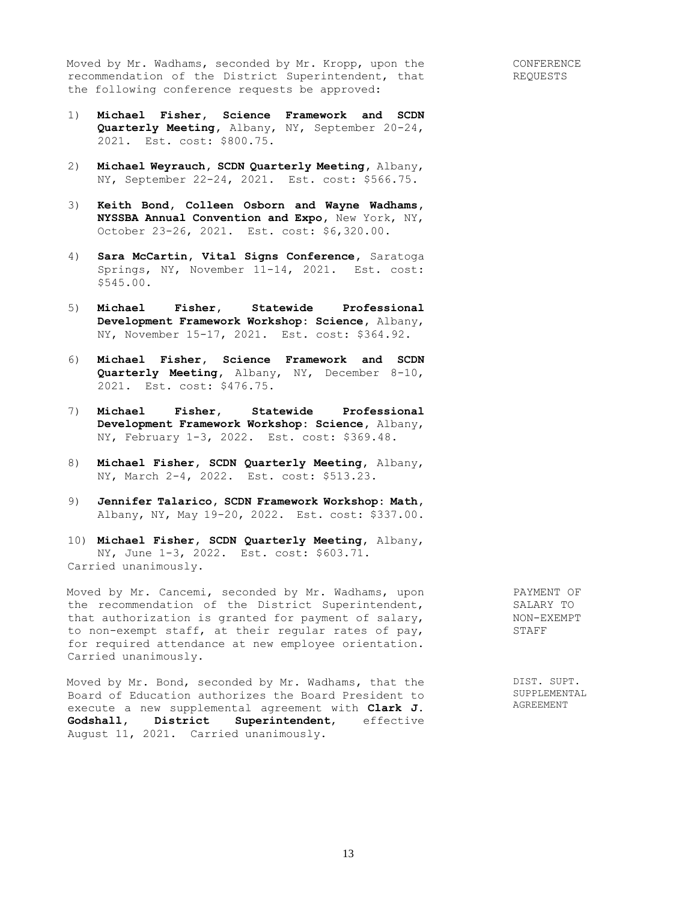Moved by Mr. Wadhams, seconded by Mr. Kropp, upon the recommendation of the District Superintendent, that the following conference requests be approved:

- 1) **Michael Fisher, Science Framework and SCDN Quarterly Meeting,** Albany, NY, September 20-24, 2021. Est. cost: \$800.75.
- 2) **Michael Weyrauch, SCDN Quarterly Meeting,** Albany, NY, September 22-24, 2021. Est. cost: \$566.75.
- 3) **Keith Bond, Colleen Osborn and Wayne Wadhams, NYSSBA Annual Convention and Expo,** New York, NY, October 23-26, 2021. Est. cost: \$6,320.00.
- 4) **Sara McCartin, Vital Signs Conference,** Saratoga Springs, NY, November 11-14, 2021. Est. cost: \$545.00.
- 5) **Michael Fisher, Statewide Professional Development Framework Workshop: Science,** Albany, NY, November 15-17, 2021. Est. cost: \$364.92.
- 6) **Michael Fisher, Science Framework and SCDN Quarterly Meeting,** Albany, NY, December 8-10, 2021. Est. cost: \$476.75.
- 7) **Michael Fisher, Statewide Professional Development Framework Workshop: Science,** Albany, NY, February 1-3, 2022. Est. cost: \$369.48.
- 8) **Michael Fisher, SCDN Quarterly Meeting,** Albany, NY, March 2-4, 2022. Est. cost: \$513.23.
- 9) **Jennifer Talarico, SCDN Framework Workshop: Math,**  Albany, NY, May 19-20, 2022. Est. cost: \$337.00.
- 10) **Michael Fisher, SCDN Quarterly Meeting,** Albany, NY, June 1-3, 2022. Est. cost: \$603.71. Carried unanimously.

Moved by Mr. Cancemi, seconded by Mr. Wadhams, upon the recommendation of the District Superintendent, the recommendation of the District Superintendent,<br>that authorization is granted for payment of salary, to non-exempt staff, at their regular rates of pay, for required attendance at new employee orientation. Carried unanimously.

Moved by Mr. Bond, seconded by Mr. Wadhams, that the Board of Education authorizes the Board President to execute a new supplemental agreement with **Clark J. Godshall, District Superintendent**, effective August 11, 2021. Carried unanimously.

PAYMENT OF SALARY TO NON-EXEMPT STAFF

DIST. SUPT. SUPPLEMENTAL AGREEMENT

13

CONFERENCE REQUESTS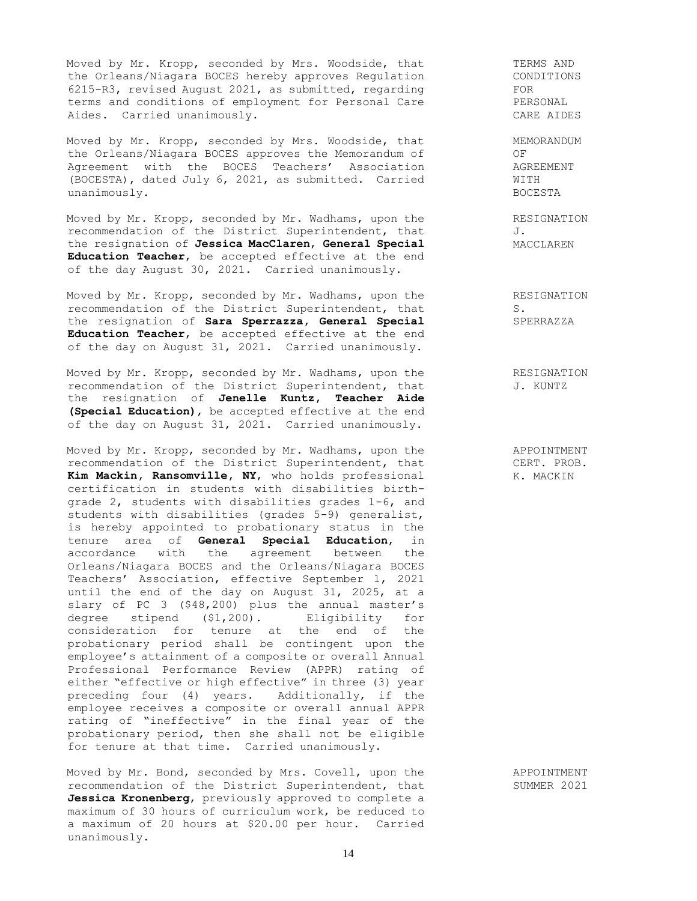Moved by Mr. Kropp, seconded by Mrs. Woodside, that the Orleans/Niagara BOCES hereby approves Regulation 6215-R3, revised August 2021, as submitted, regarding terms and conditions of employment for Personal Care Aides. Carried unanimously.

Moved by Mr. Kropp, seconded by Mrs. Woodside, that the Orleans/Niagara BOCES approves the Memorandum of Agreement with the BOCES Teachers' Association (BOCESTA), dated July 6, 2021, as submitted. Carried unanimously.

Moved by Mr. Kropp, seconded by Mr. Wadhams, upon the recommendation of the District Superintendent, that the resignation of **Jessica MacClaren**, **General Special Education Teacher**, be accepted effective at the end of the day August 30, 2021. Carried unanimously.

Moved by Mr. Kropp, seconded by Mr. Wadhams, upon the recommendation of the District Superintendent, that the resignation of **Sara Sperrazza, General Special Education Teacher**, be accepted effective at the end of the day on August 31, 2021. Carried unanimously.

Moved by Mr. Kropp, seconded by Mr. Wadhams, upon the recommendation of the District Superintendent, that the resignation of **Jenelle Kuntz, Teacher Aide (Special Education)**, be accepted effective at the end of the day on August 31, 2021. Carried unanimously.

Moved by Mr. Kropp, seconded by Mr. Wadhams, upon the recommendation of the District Superintendent, that **Kim Mackin, Ransomville, NY**, who holds professional certification in students with disabilities birthgrade 2, students with disabilities grades 1-6, and students with disabilities (grades 5-9) generalist, is hereby appointed to probationary status in the tenure area of **General Special Education**, in accordance with the agreement between the Orleans/Niagara BOCES and the Orleans/Niagara BOCES Teachers' Association, effective September 1, 2021 until the end of the day on August 31, 2025, at a slary of PC 3 (\$48,200) plus the annual master's degree stipend (\$1,200). Eligibility for consideration for tenure at the end of the probationary period shall be contingent upon the employee's attainment of a composite or overall Annual Professional Performance Review (APPR) rating of either "effective or high effective" in three (3) year preceding four (4) years. Additionally, if the employee receives a composite or overall annual APPR rating of "ineffective" in the final year of the probationary period, then she shall not be eligible for tenure at that time. Carried unanimously.

Moved by Mr. Bond, seconded by Mrs. Covell, upon the recommendation of the District Superintendent, that **Jessica Kronenberg**, previously approved to complete a maximum of 30 hours of curriculum work, be reduced to a maximum of 20 hours at \$20.00 per hour. Carried unanimously.

TERMS AND CONDITIONS FOR PERSONAL CARE AIDES

MEMORANDUM OF AGREEMENT WITH BOCESTA

RESIGNATION J. MACCLAREN

RESIGNATION S. SPERRAZZA

RESIGNATION J. KUNTZ

APPOINTMENT CERT. PROB. K. MACKIN

APPOINTMENT SUMMER 2021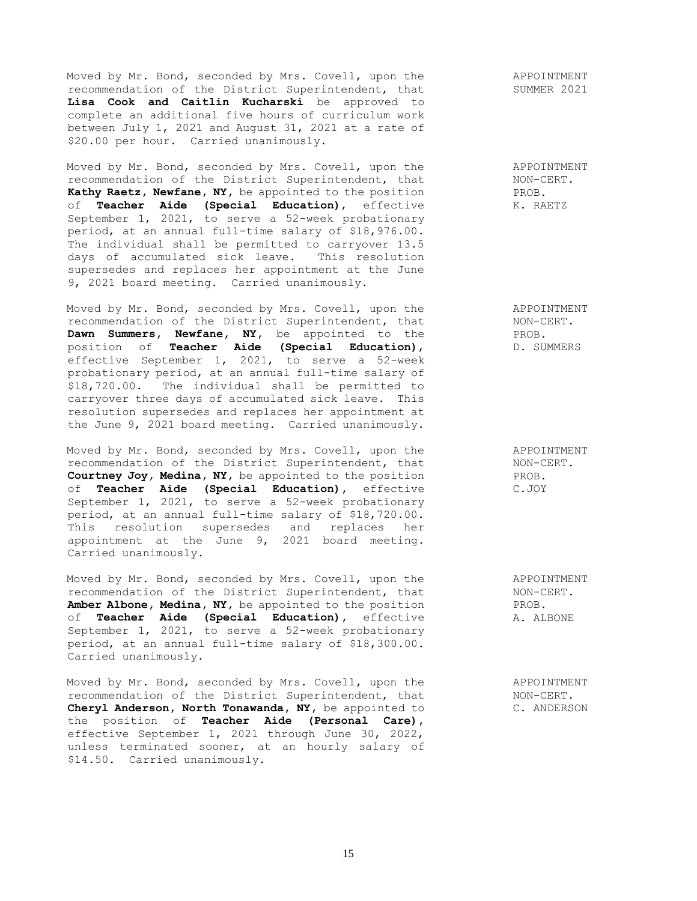Moved by Mr. Bond, seconded by Mrs. Covell, upon the recommendation of the District Superintendent, that **Lisa Cook and Caitlin Kucharski** be approved to complete an additional five hours of curriculum work between July 1, 2021 and August 31, 2021 at a rate of \$20.00 per hour. Carried unanimously.

Moved by Mr. Bond, seconded by Mrs. Covell, upon the recommendation of the District Superintendent, that **Kathy Raetz, Newfane, NY,** be appointed to the position of **Teacher Aide (Special Education)**, effective September 1, 2021, to serve a 52-week probationary period, at an annual full-time salary of \$18,976.00. The individual shall be permitted to carryover 13.5 days of accumulated sick leave. This resolution supersedes and replaces her appointment at the June 9, 2021 board meeting. Carried unanimously.

Moved by Mr. Bond, seconded by Mrs. Covell, upon the recommendation of the District Superintendent, that **Dawn Summers, Newfane, NY,** be appointed to the position of **Teacher Aide (Special Education)**, effective September 1, 2021, to serve a 52-week probationary period, at an annual full-time salary of \$18,720.00. The individual shall be permitted to carryover three days of accumulated sick leave. This resolution supersedes and replaces her appointment at the June 9, 2021 board meeting. Carried unanimously.

Moved by Mr. Bond, seconded by Mrs. Covell, upon the recommendation of the District Superintendent, that **Courtney Joy, Medina, NY,** be appointed to the position of **Teacher Aide (Special Education),** effective September 1, 2021, to serve a 52-week probationary period, at an annual full-time salary of \$18,720.00. This resolution supersedes and replaces her appointment at the June 9, 2021 board meeting. Carried unanimously.

Moved by Mr. Bond, seconded by Mrs. Covell, upon the recommendation of the District Superintendent, that **Amber Albone, Medina, NY,** be appointed to the position of **Teacher Aide (Special Education),** effective of **Teacher Aide (Special Education)**, effective<br>September 1, 2021, to serve a 52-week probationary period, at an annual full-time salary of \$18,300.00. Carried unanimously.

Moved by Mr. Bond, seconded by Mrs. Covell, upon the recommendation of the District Superintendent, that **Cheryl Anderson, North Tonawanda, NY,** be appointed to the position of **Teacher Aide (Personal Care),**  effective September 1, 2021 through June 30, 2022, unless terminated sooner, at an hourly salary of \$14.50. Carried unanimously.

APPOINTMENT NON-CERT. PROB. K. RAETZ

APPOINTMENT NON-CERT. PROB. D. SUMMERS

APPOINTMENT NON-CERT. PROB. C.JOY

APPOINTMENT NON-CERT. PROB. A. ALBONE

APPOINTMENT NON-CERT. C. ANDERSON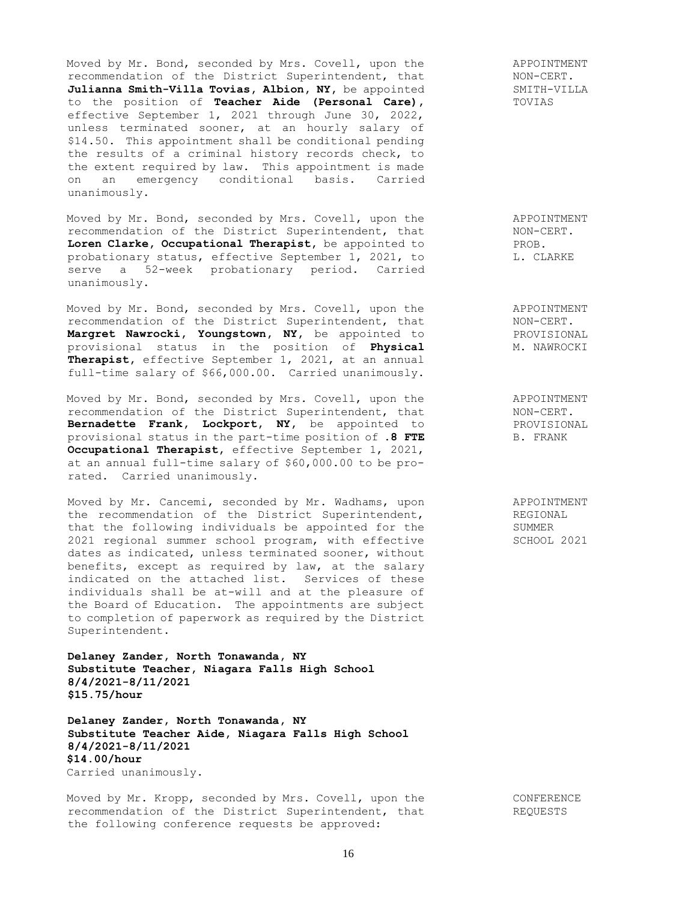Moved by Mr. Bond, seconded by Mrs. Covell, upon the recommendation of the District Superintendent, that **Julianna Smith-Villa Tovias, Albion, NY,** be appointed to the position of **Teacher Aide (Personal Care),**  effective September 1, 2021 through June 30, 2022, unless terminated sooner, at an hourly salary of \$14.50. This appointment shall be conditional pending the results of a criminal history records check, to the extent required by law. This appointment is made on an emergency conditional basis. Carried unanimously.

Moved by Mr. Bond, seconded by Mrs. Covell, upon the recommendation of the District Superintendent, that **Loren Clarke, Occupational Therapist,** be appointed to probationary status, effective September 1, 2021, to serve a 52-week probationary period. Carried unanimously.

Moved by Mr. Bond, seconded by Mrs. Covell, upon the recommendation of the District Superintendent, that **Margret Nawrocki, Youngstown, NY,** be appointed to provisional status in the position of **Physical Therapist,** effective September 1, 2021, at an annual full-time salary of \$66,000.00. Carried unanimously.

Moved by Mr. Bond, seconded by Mrs. Covell, upon the recommendation of the District Superintendent, that **Bernadette Frank, Lockport, NY,** be appointed to provisional status in the part-time position of **.8 FTE Occupational Therapist,** effective September 1, 2021, at an annual full-time salary of \$60,000.00 to be prorated. Carried unanimously.

Moved by Mr. Cancemi, seconded by Mr. Wadhams, upon the recommendation of the District Superintendent, that the following individuals be appointed for the 2021 regional summer school program, with effective dates as indicated, unless terminated sooner, without benefits, except as required by law, at the salary indicated on the attached list. Services of these individuals shall be at-will and at the pleasure of the Board of Education. The appointments are subject to completion of paperwork as required by the District Superintendent.

**Delaney Zander, North Tonawanda, NY Substitute Teacher, Niagara Falls High School 8/4/2021-8/11/2021 \$15.75/hour**

**Delaney Zander, North Tonawanda, NY Substitute Teacher Aide, Niagara Falls High School 8/4/2021-8/11/2021 \$14.00/hour** Carried unanimously.

Moved by Mr. Kropp, seconded by Mrs. Covell, upon the recommendation of the District Superintendent, that the following conference requests be approved:

APPOINTMENT NON-CERT. SMITH-VILLA TOVIAS

APPOINTMENT NON-CERT. PROB. L. CLARKE

APPOINTMENT NON-CERT. PROVISIONAL M. NAWROCKI

APPOINTMENT NON-CERT. PROVISIONAL B. FRANK

APPOINTMENT REGIONAL SUMMER SCHOOL 2021

> CONFERENCE REQUESTS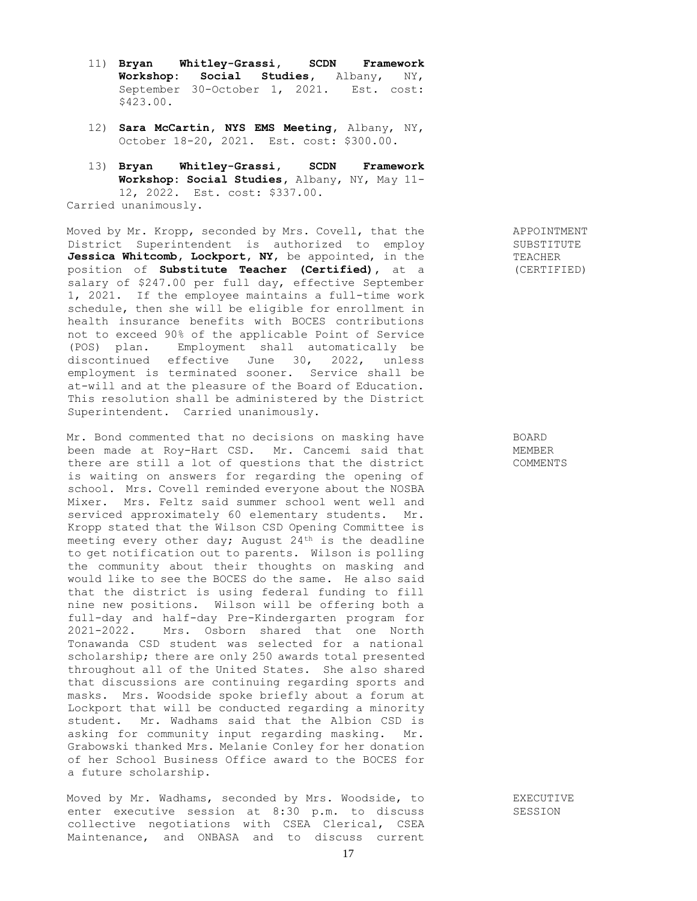- 11) **Bryan Whitley-Grassi, SCDN Framework Workshop: Social Studies,** Albany, NY, September 30-October 1, 2021. Est. cost: \$423.00.
- 12) **Sara McCartin, NYS EMS Meeting,** Albany, NY, October 18-20, 2021. Est. cost: \$300.00.
- 13) **Bryan Whitley-Grassi, SCDN Framework Workshop: Social Studies,** Albany, NY, May 11- 12, 2022. Est. cost: \$337.00. Carried unanimously.

Moved by Mr. Kropp, seconded by Mrs. Covell, that the District Superintendent is authorized to employ **Jessica Whitcomb, Lockport, NY**, be appointed, in the position of **Substitute Teacher (Certified),** at a salary of \$247.00 per full day, effective September 1, 2021. If the employee maintains a full-time work schedule, then she will be eligible for enrollment in health insurance benefits with BOCES contributions not to exceed 90% of the applicable Point of Service (POS) plan. Employment shall automatically be discontinued effective June 30, 2022, unless employment is terminated sooner. Service shall be at-will and at the pleasure of the Board of Education. This resolution shall be administered by the District Superintendent. Carried unanimously.

Mr. Bond commented that no decisions on masking have been made at Roy-Hart CSD. Mr. Cancemi said that there are still a lot of questions that the district is waiting on answers for regarding the opening of school. Mrs. Covell reminded everyone about the NOSBA Mixer. Mrs. Feltz said summer school went well and serviced approximately 60 elementary students. Mr. Kropp stated that the Wilson CSD Opening Committee is meeting every other day; August  $24<sup>th</sup>$  is the deadline to get notification out to parents. Wilson is polling the community about their thoughts on masking and would like to see the BOCES do the same. He also said that the district is using federal funding to fill nine new positions. Wilson will be offering both a full-day and half-day Pre-Kindergarten program for 2021-2022. Mrs. Osborn shared that one North Tonawanda CSD student was selected for a national scholarship; there are only 250 awards total presented throughout all of the United States. She also shared that discussions are continuing regarding sports and masks. Mrs. Woodside spoke briefly about a forum at Lockport that will be conducted regarding a minority student. Mr. Wadhams said that the Albion CSD is asking for community input regarding masking. Mr. Grabowski thanked Mrs. Melanie Conley for her donation of her School Business Office award to the BOCES for a future scholarship.

Moved by Mr. Wadhams, seconded by Mrs. Woodside, to enter executive session at 8:30 p.m. to discuss collective negotiations with CSEA Clerical, CSEA Maintenance, and ONBASA and to discuss current

APPOINTMENT SUBSTITUTE TEACHER (CERTIFIED)

BOARD MEMBER COMMENTS

EXECUTIVE SESSION